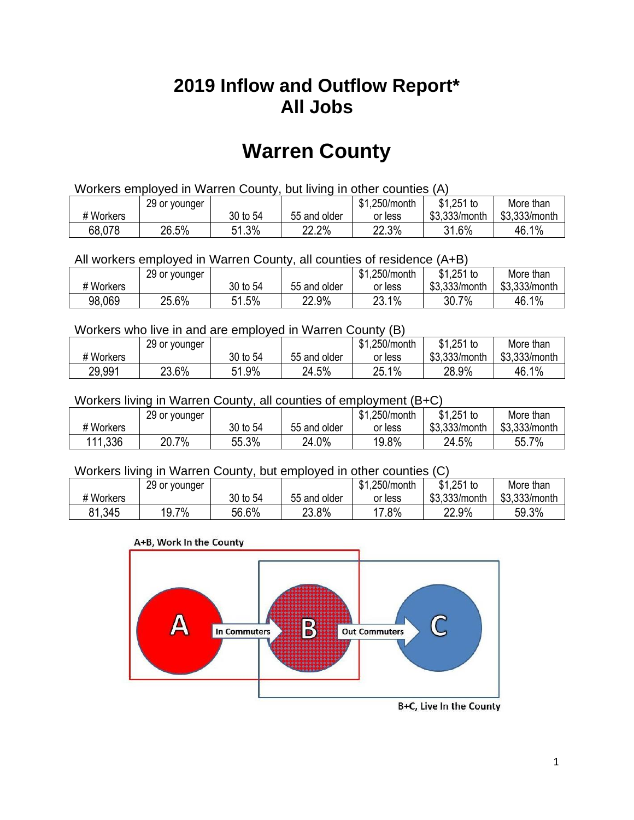## **2019 Inflow and Outflow Report\* All Jobs**

# **Warren County**

| Workers employed in Warren County, but living in other counties (A) |                                                           |          |              |         |               |               |  |  |  |
|---------------------------------------------------------------------|-----------------------------------------------------------|----------|--------------|---------|---------------|---------------|--|--|--|
|                                                                     | \$1.251 to<br>\$1.250/month<br>More than<br>29 or younger |          |              |         |               |               |  |  |  |
| # Workers                                                           |                                                           | 30 to 54 | 55 and older | or less | \$3.333/month | \$3,333/month |  |  |  |
| 68,078                                                              | 26.5%                                                     | 51.3%    | 22.2%        | 22.3%   | 31.6%         | 46.1%         |  |  |  |

All workers employed in Warren County, all counties of residence (A+B)

|           | 29 or younger |              |              | \$1,250/month | $$1,251$ to   | More than     |
|-----------|---------------|--------------|--------------|---------------|---------------|---------------|
| # Workers |               | 30 to 54     | 55 and older | or less       | \$3,333/month | \$3,333/month |
| 98,069    | 25.6%         | 51.5%<br>51. | 22.9%        | 23.1%         | 30.7<br>7%    | 46.1%         |

#### Workers who live in and are employed in Warren County (B)

|           | 29 or younger |              |              | \$1,250/month | $$1,251$ to   | More than     |
|-----------|---------------|--------------|--------------|---------------|---------------|---------------|
| # Workers |               | 30 to 54     | 55 and older | or less       | \$3,333/month | \$3,333/month |
| 29,991    | 23.6%         | 51.9%<br>- 4 | 24.5%        | 25.1%         | 28.9%         | 46.1%         |

#### Workers living in Warren County, all counties of employment (B+C)

|           | 29 or younger |          |              | \$1,250/month | \$1,251 to    | More than     |
|-----------|---------------|----------|--------------|---------------|---------------|---------------|
| # Workers |               | 30 to 54 | 55 and older | or less       | \$3,333/month | \$3,333/month |
| 111,336   | 20.7%         | 55.3%    | 24.0%        | 19.8%         | 24.5%         | 55.7%         |

#### Workers living in Warren County, but employed in other counties (C)

|           | 29 or younger |          |              | .250/month<br><b>ሰ</b> ላ<br>ונה | $$1,251$ to   | More than     |
|-----------|---------------|----------|--------------|---------------------------------|---------------|---------------|
| # Workers |               | 30 to 54 | 55 and older | or less                         | \$3,333/month | \$3,333/month |
| 81,345    | 19.7%         | 56.6%    | 23.8%        | $'7.8\%$                        | 22.9%         | 59.3%         |

#### A+B, Work In the County